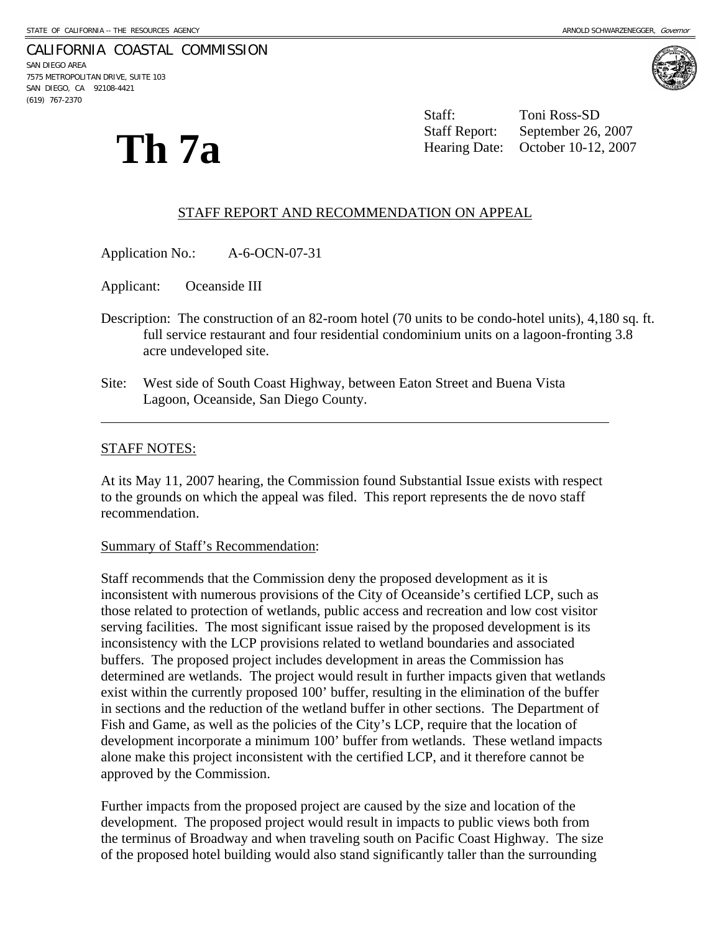#### CALIFORNIA COASTAL COMMISSION

SAN DIEGO AREA 7575 METROPOLITAN DRIVE, SUITE 103 SAN DIEGO, CA 92108-4421 (619) 767-2370



**Th 7a** 

 Staff: Toni Ross-SD Staff Report: September 26, 2007 Hearing Date: October 10-12, 2007

### STAFF REPORT AND RECOMMENDATION ON APPEAL

Application No.: A-6-OCN-07-31

Applicant: Oceanside III

- Description: The construction of an 82-room hotel (70 units to be condo-hotel units), 4,180 sq. ft. full service restaurant and four residential condominium units on a lagoon-fronting 3.8 acre undeveloped site.
- Site: West side of South Coast Highway, between Eaton Street and Buena Vista Lagoon, Oceanside, San Diego County.

#### STAFF NOTES:

 $\overline{a}$ 

At its May 11, 2007 hearing, the Commission found Substantial Issue exists with respect to the grounds on which the appeal was filed. This report represents the de novo staff recommendation.

#### Summary of Staff's Recommendation:

Staff recommends that the Commission deny the proposed development as it is inconsistent with numerous provisions of the City of Oceanside's certified LCP, such as those related to protection of wetlands, public access and recreation and low cost visitor serving facilities. The most significant issue raised by the proposed development is its inconsistency with the LCP provisions related to wetland boundaries and associated buffers. The proposed project includes development in areas the Commission has determined are wetlands. The project would result in further impacts given that wetlands exist within the currently proposed 100' buffer, resulting in the elimination of the buffer in sections and the reduction of the wetland buffer in other sections. The Department of Fish and Game, as well as the policies of the City's LCP, require that the location of development incorporate a minimum 100' buffer from wetlands. These wetland impacts alone make this project inconsistent with the certified LCP, and it therefore cannot be approved by the Commission.

Further impacts from the proposed project are caused by the size and location of the development. The proposed project would result in impacts to public views both from the terminus of Broadway and when traveling south on Pacific Coast Highway. The size of the proposed hotel building would also stand significantly taller than the surrounding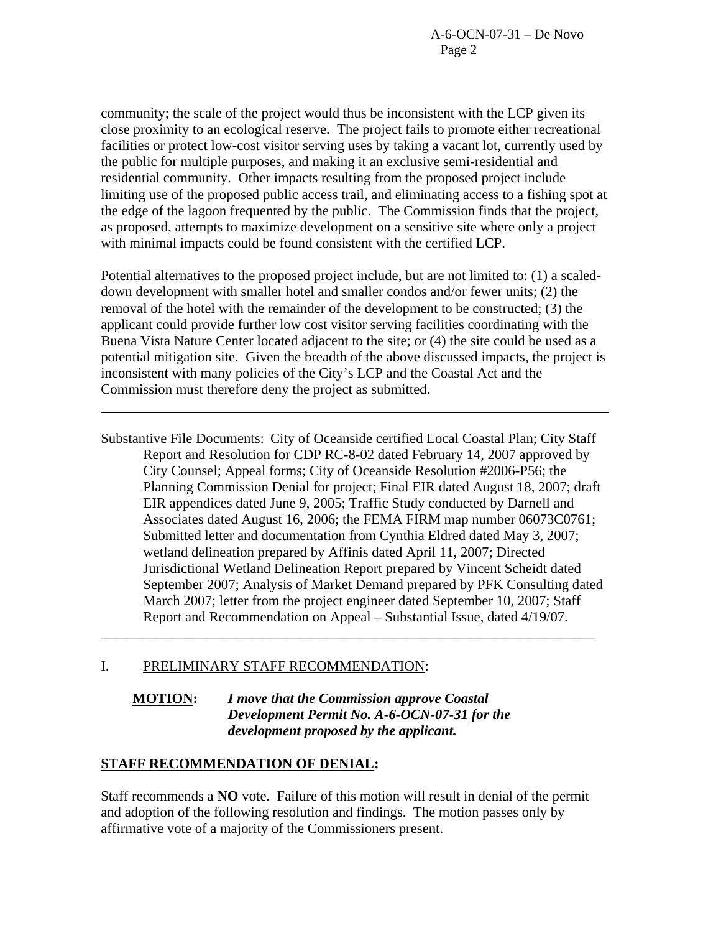community; the scale of the project would thus be inconsistent with the LCP given its close proximity to an ecological reserve. The project fails to promote either recreational facilities or protect low-cost visitor serving uses by taking a vacant lot, currently used by the public for multiple purposes, and making it an exclusive semi-residential and residential community. Other impacts resulting from the proposed project include limiting use of the proposed public access trail, and eliminating access to a fishing spot at the edge of the lagoon frequented by the public. The Commission finds that the project, as proposed, attempts to maximize development on a sensitive site where only a project with minimal impacts could be found consistent with the certified LCP.

Potential alternatives to the proposed project include, but are not limited to: (1) a scaleddown development with smaller hotel and smaller condos and/or fewer units; (2) the removal of the hotel with the remainder of the development to be constructed; (3) the applicant could provide further low cost visitor serving facilities coordinating with the Buena Vista Nature Center located adjacent to the site; or (4) the site could be used as a potential mitigation site. Given the breadth of the above discussed impacts, the project is inconsistent with many policies of the City's LCP and the Coastal Act and the Commission must therefore deny the project as submitted.

Substantive File Documents: City of Oceanside certified Local Coastal Plan; City Staff Report and Resolution for CDP RC-8-02 dated February 14, 2007 approved by City Counsel; Appeal forms; City of Oceanside Resolution #2006-P56; the Planning Commission Denial for project; Final EIR dated August 18, 2007; draft EIR appendices dated June 9, 2005; Traffic Study conducted by Darnell and Associates dated August 16, 2006; the FEMA FIRM map number 06073C0761; Submitted letter and documentation from Cynthia Eldred dated May 3, 2007; wetland delineation prepared by Affinis dated April 11, 2007; Directed Jurisdictional Wetland Delineation Report prepared by Vincent Scheidt dated September 2007; Analysis of Market Demand prepared by PFK Consulting dated March 2007; letter from the project engineer dated September 10, 2007; Staff Report and Recommendation on Appeal – Substantial Issue, dated 4/19/07. \_\_\_\_\_\_\_\_\_\_\_\_\_\_\_\_\_\_\_\_\_\_\_\_\_\_\_\_\_\_\_\_\_\_\_\_\_\_\_\_\_\_\_\_\_\_\_\_\_\_\_\_\_\_\_\_\_\_\_\_\_\_\_\_\_\_\_\_\_\_

# I. PRELIMINARY STAFF RECOMMENDATION:

# **MOTION:** *I move that the Commission approve Coastal Development Permit No. A-6-OCN-07-31 for the development proposed by the applicant.*

# **STAFF RECOMMENDATION OF DENIAL:**

 $\overline{a}$ 

Staff recommends a **NO** vote. Failure of this motion will result in denial of the permit and adoption of the following resolution and findings. The motion passes only by affirmative vote of a majority of the Commissioners present.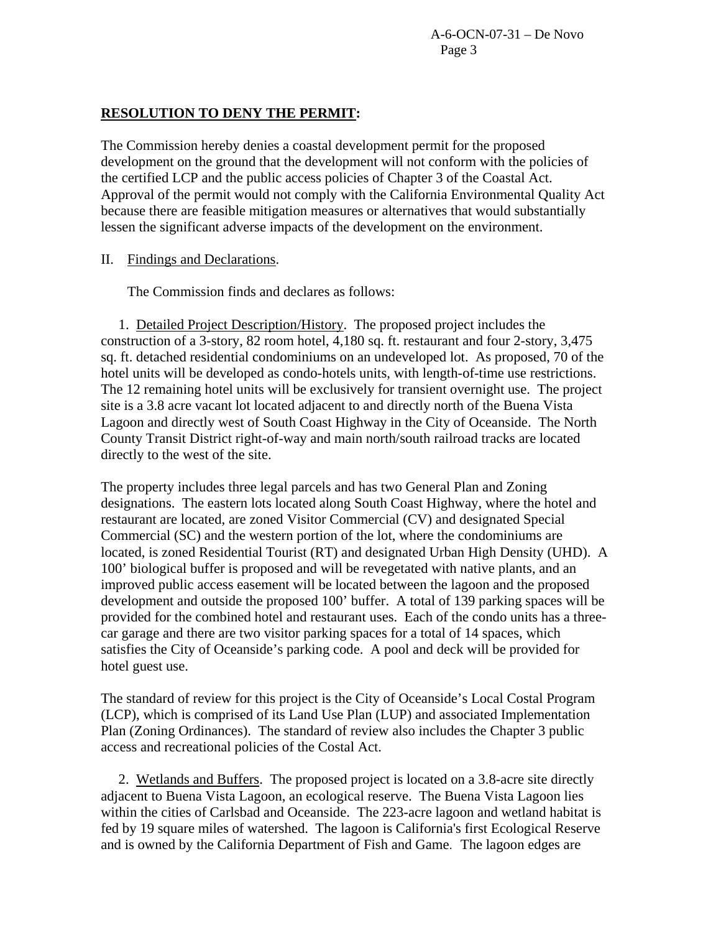A-6-OCN-07-31 – De Novo Page 3

### **RESOLUTION TO DENY THE PERMIT:**

The Commission hereby denies a coastal development permit for the proposed development on the ground that the development will not conform with the policies of the certified LCP and the public access policies of Chapter 3 of the Coastal Act. Approval of the permit would not comply with the California Environmental Quality Act because there are feasible mitigation measures or alternatives that would substantially lessen the significant adverse impacts of the development on the environment.

## II. Findings and Declarations.

The Commission finds and declares as follows:

 1. Detailed Project Description/History. The proposed project includes the construction of a 3-story, 82 room hotel, 4,180 sq. ft. restaurant and four 2-story, 3,475 sq. ft. detached residential condominiums on an undeveloped lot. As proposed, 70 of the hotel units will be developed as condo-hotels units, with length-of-time use restrictions. The 12 remaining hotel units will be exclusively for transient overnight use. The project site is a 3.8 acre vacant lot located adjacent to and directly north of the Buena Vista Lagoon and directly west of South Coast Highway in the City of Oceanside. The North County Transit District right-of-way and main north/south railroad tracks are located directly to the west of the site.

The property includes three legal parcels and has two General Plan and Zoning designations. The eastern lots located along South Coast Highway, where the hotel and restaurant are located, are zoned Visitor Commercial (CV) and designated Special Commercial (SC) and the western portion of the lot, where the condominiums are located, is zoned Residential Tourist (RT) and designated Urban High Density (UHD). A 100' biological buffer is proposed and will be revegetated with native plants, and an improved public access easement will be located between the lagoon and the proposed development and outside the proposed 100' buffer. A total of 139 parking spaces will be provided for the combined hotel and restaurant uses. Each of the condo units has a threecar garage and there are two visitor parking spaces for a total of 14 spaces, which satisfies the City of Oceanside's parking code. A pool and deck will be provided for hotel guest use.

The standard of review for this project is the City of Oceanside's Local Costal Program (LCP), which is comprised of its Land Use Plan (LUP) and associated Implementation Plan (Zoning Ordinances). The standard of review also includes the Chapter 3 public access and recreational policies of the Costal Act.

 2. Wetlands and Buffers. The proposed project is located on a 3.8-acre site directly adjacent to Buena Vista Lagoon, an ecological reserve. The Buena Vista Lagoon lies within the cities of Carlsbad and Oceanside. The 223-acre lagoon and wetland habitat is fed by 19 square miles of watershed. The lagoon is California's first Ecological Reserve and is owned by the California Department of Fish and Game. The lagoon edges are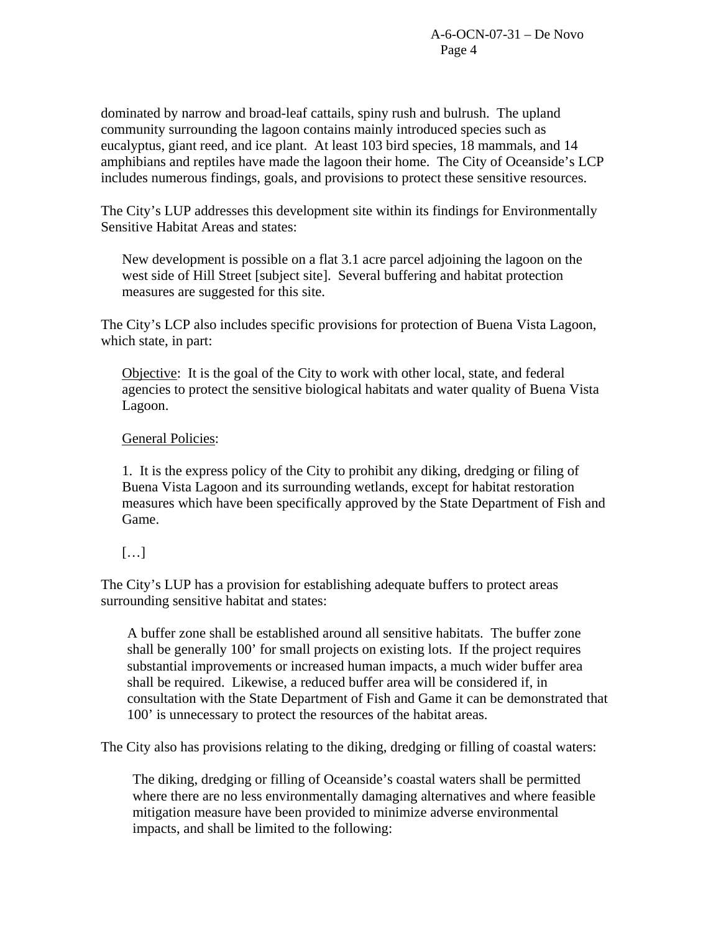dominated by narrow and broad-leaf cattails, spiny rush and bulrush. The upland community surrounding the lagoon contains mainly introduced species such as eucalyptus, giant reed, and ice plant. At least 103 bird species, 18 mammals, and 14 amphibians and reptiles have made the lagoon their home. The City of Oceanside's LCP includes numerous findings, goals, and provisions to protect these sensitive resources.

The City's LUP addresses this development site within its findings for Environmentally Sensitive Habitat Areas and states:

New development is possible on a flat 3.1 acre parcel adjoining the lagoon on the west side of Hill Street [subject site]. Several buffering and habitat protection measures are suggested for this site.

The City's LCP also includes specific provisions for protection of Buena Vista Lagoon, which state, in part:

Objective: It is the goal of the City to work with other local, state, and federal agencies to protect the sensitive biological habitats and water quality of Buena Vista Lagoon.

# General Policies:

1. It is the express policy of the City to prohibit any diking, dredging or filing of Buena Vista Lagoon and its surrounding wetlands, except for habitat restoration measures which have been specifically approved by the State Department of Fish and Game.

# […]

The City's LUP has a provision for establishing adequate buffers to protect areas surrounding sensitive habitat and states:

 A buffer zone shall be established around all sensitive habitats. The buffer zone shall be generally 100' for small projects on existing lots. If the project requires substantial improvements or increased human impacts, a much wider buffer area shall be required. Likewise, a reduced buffer area will be considered if, in consultation with the State Department of Fish and Game it can be demonstrated that 100' is unnecessary to protect the resources of the habitat areas.

The City also has provisions relating to the diking, dredging or filling of coastal waters:

The diking, dredging or filling of Oceanside's coastal waters shall be permitted where there are no less environmentally damaging alternatives and where feasible mitigation measure have been provided to minimize adverse environmental impacts, and shall be limited to the following: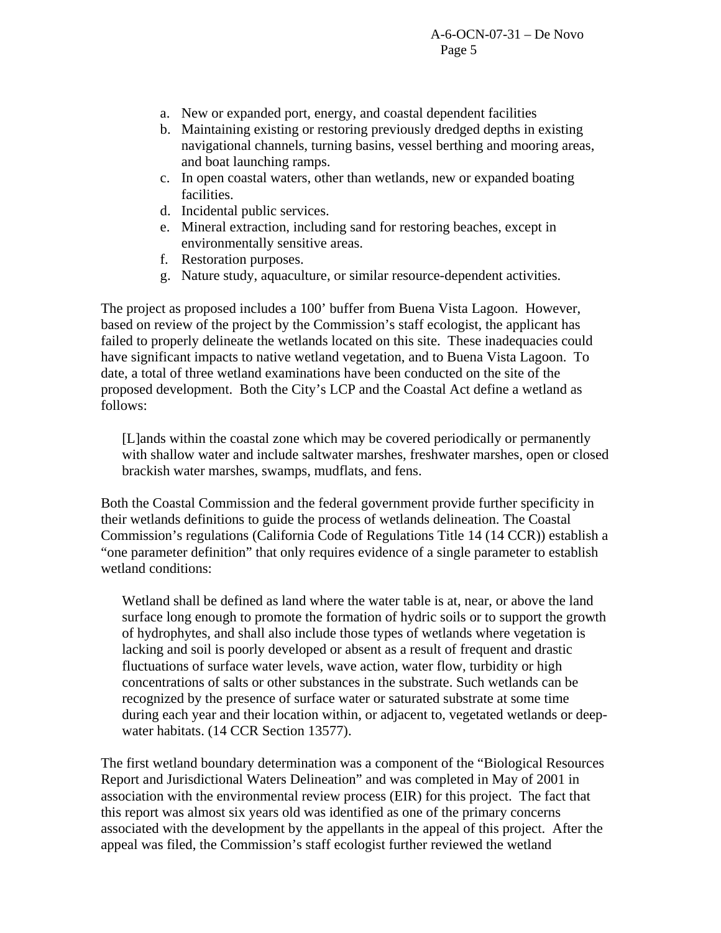- a. New or expanded port, energy, and coastal dependent facilities
- b. Maintaining existing or restoring previously dredged depths in existing navigational channels, turning basins, vessel berthing and mooring areas, and boat launching ramps.
- c. In open coastal waters, other than wetlands, new or expanded boating facilities.
- d. Incidental public services.
- e. Mineral extraction, including sand for restoring beaches, except in environmentally sensitive areas.
- f. Restoration purposes.
- g. Nature study, aquaculture, or similar resource-dependent activities.

The project as proposed includes a 100' buffer from Buena Vista Lagoon. However, based on review of the project by the Commission's staff ecologist, the applicant has failed to properly delineate the wetlands located on this site. These inadequacies could have significant impacts to native wetland vegetation, and to Buena Vista Lagoon. To date, a total of three wetland examinations have been conducted on the site of the proposed development. Both the City's LCP and the Coastal Act define a wetland as follows:

[L]ands within the coastal zone which may be covered periodically or permanently with shallow water and include saltwater marshes, freshwater marshes, open or closed brackish water marshes, swamps, mudflats, and fens.

Both the Coastal Commission and the federal government provide further specificity in their wetlands definitions to guide the process of wetlands delineation. The Coastal Commission's regulations (California Code of Regulations Title 14 (14 CCR)) establish a "one parameter definition" that only requires evidence of a single parameter to establish wetland conditions:

Wetland shall be defined as land where the water table is at, near, or above the land surface long enough to promote the formation of hydric soils or to support the growth of hydrophytes, and shall also include those types of wetlands where vegetation is lacking and soil is poorly developed or absent as a result of frequent and drastic fluctuations of surface water levels, wave action, water flow, turbidity or high concentrations of salts or other substances in the substrate. Such wetlands can be recognized by the presence of surface water or saturated substrate at some time during each year and their location within, or adjacent to, vegetated wetlands or deepwater habitats. (14 CCR Section 13577).

The first wetland boundary determination was a component of the "Biological Resources Report and Jurisdictional Waters Delineation" and was completed in May of 2001 in association with the environmental review process (EIR) for this project. The fact that this report was almost six years old was identified as one of the primary concerns associated with the development by the appellants in the appeal of this project. After the appeal was filed, the Commission's staff ecologist further reviewed the wetland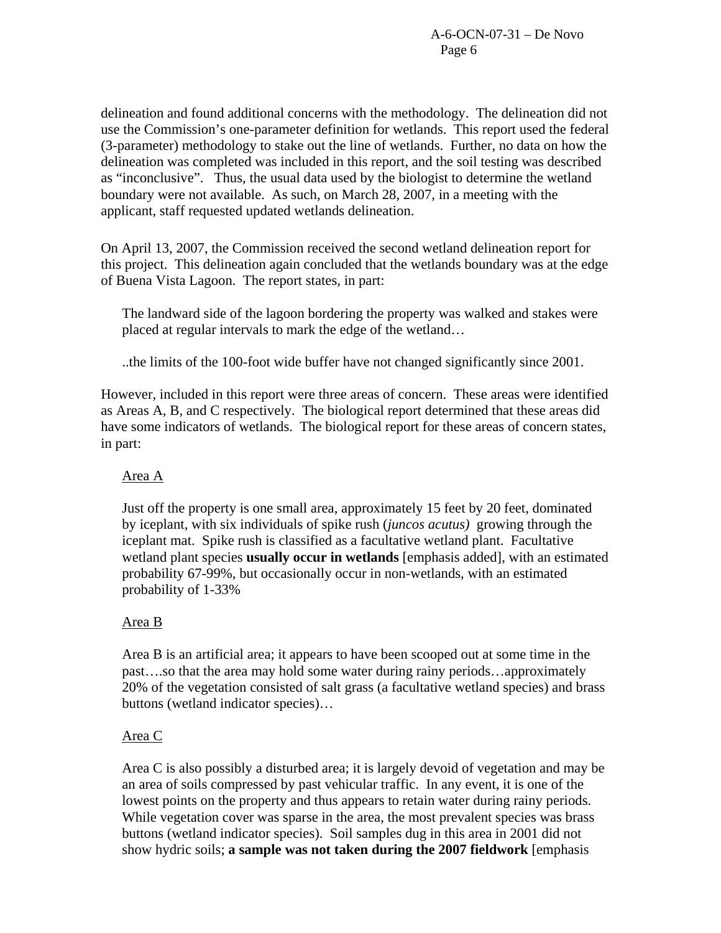delineation and found additional concerns with the methodology. The delineation did not use the Commission's one-parameter definition for wetlands. This report used the federal (3-parameter) methodology to stake out the line of wetlands. Further, no data on how the delineation was completed was included in this report, and the soil testing was described as "inconclusive". Thus, the usual data used by the biologist to determine the wetland boundary were not available. As such, on March 28, 2007, in a meeting with the applicant, staff requested updated wetlands delineation.

On April 13, 2007, the Commission received the second wetland delineation report for this project. This delineation again concluded that the wetlands boundary was at the edge of Buena Vista Lagoon. The report states, in part:

The landward side of the lagoon bordering the property was walked and stakes were placed at regular intervals to mark the edge of the wetland…

..the limits of the 100-foot wide buffer have not changed significantly since 2001.

However, included in this report were three areas of concern. These areas were identified as Areas A, B, and C respectively. The biological report determined that these areas did have some indicators of wetlands. The biological report for these areas of concern states, in part:

# Area A

Just off the property is one small area, approximately 15 feet by 20 feet, dominated by iceplant, with six individuals of spike rush (*juncos acutus)* growing through the iceplant mat. Spike rush is classified as a facultative wetland plant. Facultative wetland plant species **usually occur in wetlands** [emphasis added], with an estimated probability 67-99%, but occasionally occur in non-wetlands, with an estimated probability of 1-33%

# Area B

Area B is an artificial area; it appears to have been scooped out at some time in the past….so that the area may hold some water during rainy periods…approximately 20% of the vegetation consisted of salt grass (a facultative wetland species) and brass buttons (wetland indicator species)…

# Area C

Area C is also possibly a disturbed area; it is largely devoid of vegetation and may be an area of soils compressed by past vehicular traffic. In any event, it is one of the lowest points on the property and thus appears to retain water during rainy periods. While vegetation cover was sparse in the area, the most prevalent species was brass buttons (wetland indicator species). Soil samples dug in this area in 2001 did not show hydric soils; **a sample was not taken during the 2007 fieldwork** [emphasis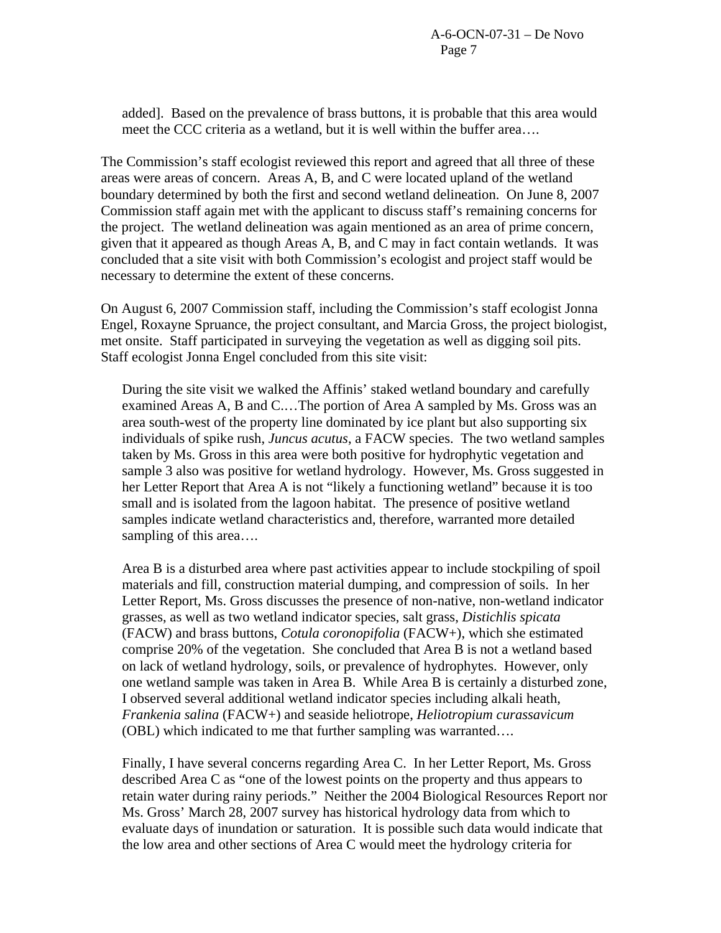added]. Based on the prevalence of brass buttons, it is probable that this area would meet the CCC criteria as a wetland, but it is well within the buffer area….

The Commission's staff ecologist reviewed this report and agreed that all three of these areas were areas of concern. Areas A, B, and C were located upland of the wetland boundary determined by both the first and second wetland delineation. On June 8, 2007 Commission staff again met with the applicant to discuss staff's remaining concerns for the project. The wetland delineation was again mentioned as an area of prime concern, given that it appeared as though Areas A, B, and C may in fact contain wetlands. It was concluded that a site visit with both Commission's ecologist and project staff would be necessary to determine the extent of these concerns.

On August 6, 2007 Commission staff, including the Commission's staff ecologist Jonna Engel, Roxayne Spruance, the project consultant, and Marcia Gross, the project biologist, met onsite. Staff participated in surveying the vegetation as well as digging soil pits. Staff ecologist Jonna Engel concluded from this site visit:

During the site visit we walked the Affinis' staked wetland boundary and carefully examined Areas A, B and C.…The portion of Area A sampled by Ms. Gross was an area south-west of the property line dominated by ice plant but also supporting six individuals of spike rush, *Juncus acutus*, a FACW species. The two wetland samples taken by Ms. Gross in this area were both positive for hydrophytic vegetation and sample 3 also was positive for wetland hydrology. However, Ms. Gross suggested in her Letter Report that Area A is not "likely a functioning wetland" because it is too small and is isolated from the lagoon habitat. The presence of positive wetland samples indicate wetland characteristics and, therefore, warranted more detailed sampling of this area….

Area B is a disturbed area where past activities appear to include stockpiling of spoil materials and fill, construction material dumping, and compression of soils. In her Letter Report, Ms. Gross discusses the presence of non-native, non-wetland indicator grasses, as well as two wetland indicator species, salt grass, *Distichlis spicata* (FACW) and brass buttons, *Cotula coronopifolia* (FACW+), which she estimated comprise 20% of the vegetation. She concluded that Area B is not a wetland based on lack of wetland hydrology, soils, or prevalence of hydrophytes. However, only one wetland sample was taken in Area B. While Area B is certainly a disturbed zone, I observed several additional wetland indicator species including alkali heath, *Frankenia salina* (FACW+) and seaside heliotrope, *Heliotropium curassavicum* (OBL) which indicated to me that further sampling was warranted….

Finally, I have several concerns regarding Area C. In her Letter Report, Ms. Gross described Area C as "one of the lowest points on the property and thus appears to retain water during rainy periods." Neither the 2004 Biological Resources Report nor Ms. Gross' March 28, 2007 survey has historical hydrology data from which to evaluate days of inundation or saturation. It is possible such data would indicate that the low area and other sections of Area C would meet the hydrology criteria for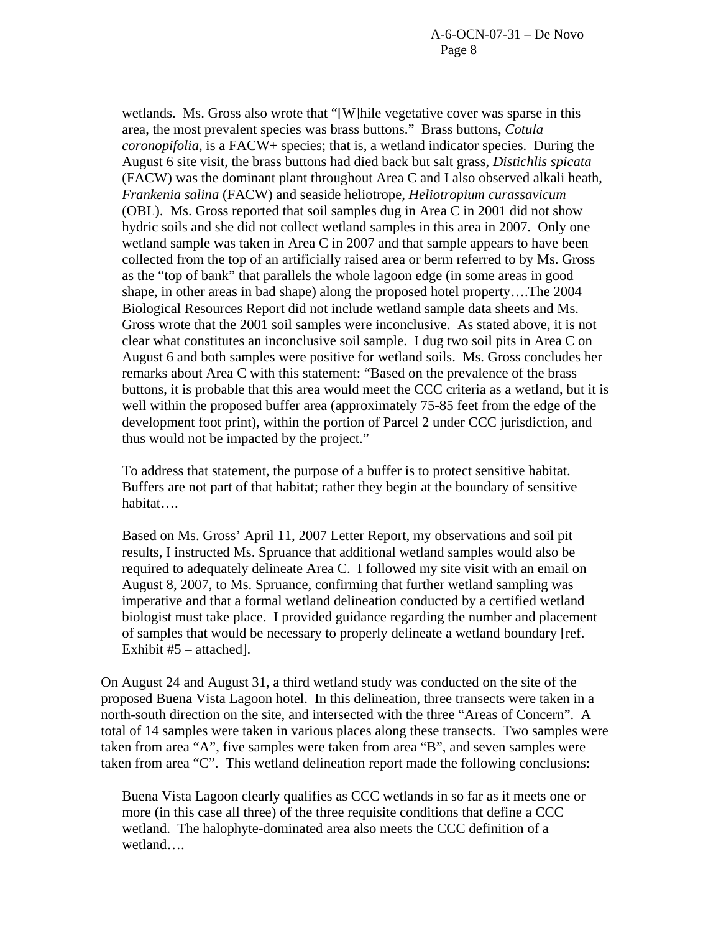wetlands. Ms. Gross also wrote that "[W]hile vegetative cover was sparse in this area, the most prevalent species was brass buttons." Brass buttons, *Cotula coronopifolia*, is a FACW+ species; that is, a wetland indicator species. During the August 6 site visit, the brass buttons had died back but salt grass, *Distichlis spicata* (FACW) was the dominant plant throughout Area C and I also observed alkali heath, *Frankenia salina* (FACW) and seaside heliotrope, *Heliotropium curassavicum*  (OBL). Ms. Gross reported that soil samples dug in Area C in 2001 did not show hydric soils and she did not collect wetland samples in this area in 2007. Only one wetland sample was taken in Area C in 2007 and that sample appears to have been collected from the top of an artificially raised area or berm referred to by Ms. Gross as the "top of bank" that parallels the whole lagoon edge (in some areas in good shape, in other areas in bad shape) along the proposed hotel property….The 2004 Biological Resources Report did not include wetland sample data sheets and Ms. Gross wrote that the 2001 soil samples were inconclusive. As stated above, it is not clear what constitutes an inconclusive soil sample. I dug two soil pits in Area C on August 6 and both samples were positive for wetland soils. Ms. Gross concludes her remarks about Area C with this statement: "Based on the prevalence of the brass buttons, it is probable that this area would meet the CCC criteria as a wetland, but it is well within the proposed buffer area (approximately 75-85 feet from the edge of the development foot print), within the portion of Parcel 2 under CCC jurisdiction, and thus would not be impacted by the project."

To address that statement, the purpose of a buffer is to protect sensitive habitat. Buffers are not part of that habitat; rather they begin at the boundary of sensitive habitat….

Based on Ms. Gross' April 11, 2007 Letter Report, my observations and soil pit results, I instructed Ms. Spruance that additional wetland samples would also be required to adequately delineate Area C. I followed my site visit with an email on August 8, 2007, to Ms. Spruance, confirming that further wetland sampling was imperative and that a formal wetland delineation conducted by a certified wetland biologist must take place. I provided guidance regarding the number and placement of samples that would be necessary to properly delineate a wetland boundary [ref. Exhibit #5 – attached].

On August 24 and August 31, a third wetland study was conducted on the site of the proposed Buena Vista Lagoon hotel. In this delineation, three transects were taken in a north-south direction on the site, and intersected with the three "Areas of Concern". A total of 14 samples were taken in various places along these transects. Two samples were taken from area "A", five samples were taken from area "B", and seven samples were taken from area "C". This wetland delineation report made the following conclusions:

Buena Vista Lagoon clearly qualifies as CCC wetlands in so far as it meets one or more (in this case all three) of the three requisite conditions that define a CCC wetland. The halophyte-dominated area also meets the CCC definition of a wetland….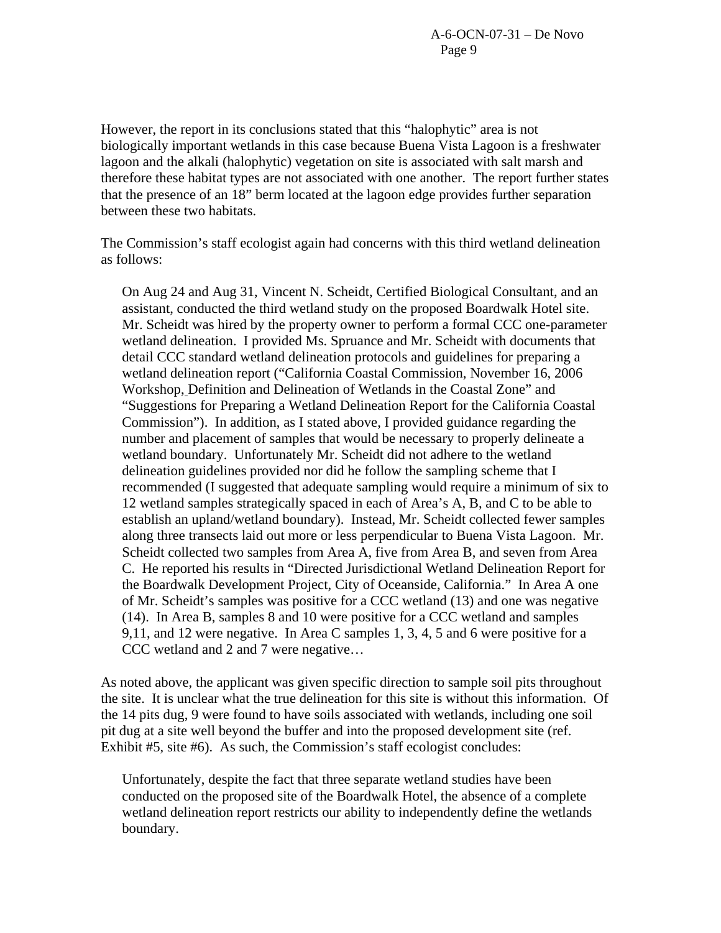However, the report in its conclusions stated that this "halophytic" area is not biologically important wetlands in this case because Buena Vista Lagoon is a freshwater lagoon and the alkali (halophytic) vegetation on site is associated with salt marsh and therefore these habitat types are not associated with one another. The report further states that the presence of an 18" berm located at the lagoon edge provides further separation between these two habitats.

The Commission's staff ecologist again had concerns with this third wetland delineation as follows:

On Aug 24 and Aug 31, Vincent N. Scheidt, Certified Biological Consultant, and an assistant, conducted the third wetland study on the proposed Boardwalk Hotel site. Mr. Scheidt was hired by the property owner to perform a formal CCC one-parameter wetland delineation. I provided Ms. Spruance and Mr. Scheidt with documents that detail CCC standard wetland delineation protocols and guidelines for preparing a wetland delineation report ("California Coastal Commission, November 16, 2006 Workshop, Definition and Delineation of Wetlands in the Coastal Zone" and "Suggestions for Preparing a Wetland Delineation Report for the California Coastal Commission"). In addition, as I stated above, I provided guidance regarding the number and placement of samples that would be necessary to properly delineate a wetland boundary. Unfortunately Mr. Scheidt did not adhere to the wetland delineation guidelines provided nor did he follow the sampling scheme that I recommended (I suggested that adequate sampling would require a minimum of six to 12 wetland samples strategically spaced in each of Area's A, B, and C to be able to establish an upland/wetland boundary). Instead, Mr. Scheidt collected fewer samples along three transects laid out more or less perpendicular to Buena Vista Lagoon. Mr. Scheidt collected two samples from Area A, five from Area B, and seven from Area C. He reported his results in "Directed Jurisdictional Wetland Delineation Report for the Boardwalk Development Project, City of Oceanside, California." In Area A one of Mr. Scheidt's samples was positive for a CCC wetland (13) and one was negative (14). In Area B, samples 8 and 10 were positive for a CCC wetland and samples 9,11, and 12 were negative. In Area C samples 1, 3, 4, 5 and 6 were positive for a CCC wetland and 2 and 7 were negative…

As noted above, the applicant was given specific direction to sample soil pits throughout the site. It is unclear what the true delineation for this site is without this information. Of the 14 pits dug, 9 were found to have soils associated with wetlands, including one soil pit dug at a site well beyond the buffer and into the proposed development site (ref. Exhibit #5, site #6). As such, the Commission's staff ecologist concludes:

Unfortunately, despite the fact that three separate wetland studies have been conducted on the proposed site of the Boardwalk Hotel, the absence of a complete wetland delineation report restricts our ability to independently define the wetlands boundary.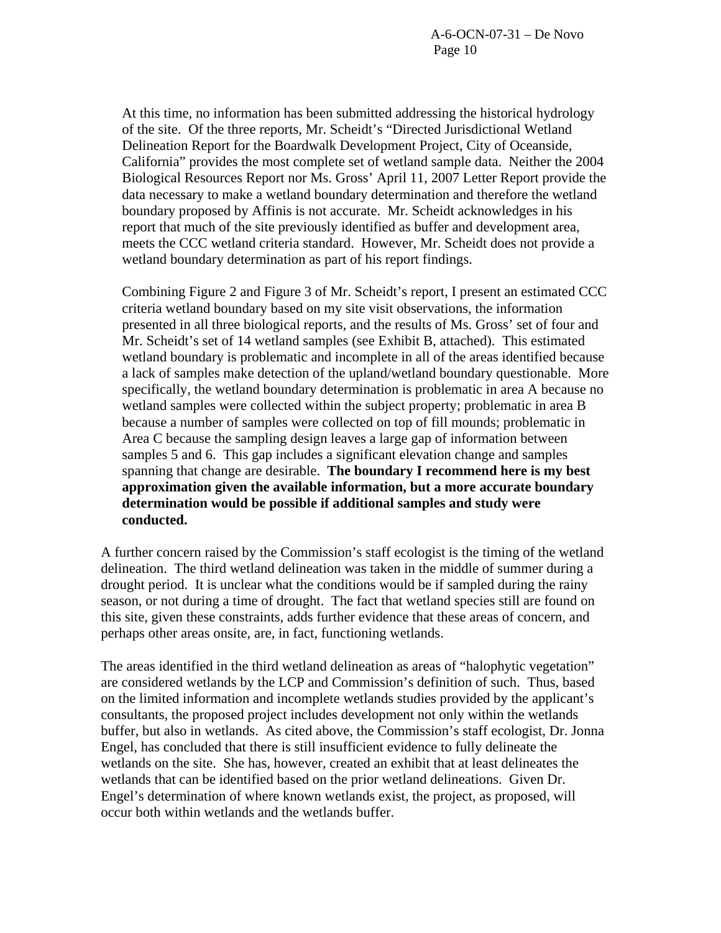At this time, no information has been submitted addressing the historical hydrology of the site. Of the three reports, Mr. Scheidt's "Directed Jurisdictional Wetland Delineation Report for the Boardwalk Development Project, City of Oceanside, California" provides the most complete set of wetland sample data. Neither the 2004 Biological Resources Report nor Ms. Gross' April 11, 2007 Letter Report provide the data necessary to make a wetland boundary determination and therefore the wetland boundary proposed by Affinis is not accurate. Mr. Scheidt acknowledges in his report that much of the site previously identified as buffer and development area, meets the CCC wetland criteria standard. However, Mr. Scheidt does not provide a wetland boundary determination as part of his report findings.

Combining Figure 2 and Figure 3 of Mr. Scheidt's report, I present an estimated CCC criteria wetland boundary based on my site visit observations, the information presented in all three biological reports, and the results of Ms. Gross' set of four and Mr. Scheidt's set of 14 wetland samples (see Exhibit B, attached). This estimated wetland boundary is problematic and incomplete in all of the areas identified because a lack of samples make detection of the upland/wetland boundary questionable. More specifically, the wetland boundary determination is problematic in area A because no wetland samples were collected within the subject property; problematic in area B because a number of samples were collected on top of fill mounds; problematic in Area C because the sampling design leaves a large gap of information between samples 5 and 6. This gap includes a significant elevation change and samples spanning that change are desirable. **The boundary I recommend here is my best approximation given the available information, but a more accurate boundary determination would be possible if additional samples and study were conducted.** 

A further concern raised by the Commission's staff ecologist is the timing of the wetland delineation. The third wetland delineation was taken in the middle of summer during a drought period. It is unclear what the conditions would be if sampled during the rainy season, or not during a time of drought. The fact that wetland species still are found on this site, given these constraints, adds further evidence that these areas of concern, and perhaps other areas onsite, are, in fact, functioning wetlands.

The areas identified in the third wetland delineation as areas of "halophytic vegetation" are considered wetlands by the LCP and Commission's definition of such. Thus, based on the limited information and incomplete wetlands studies provided by the applicant's consultants, the proposed project includes development not only within the wetlands buffer, but also in wetlands. As cited above, the Commission's staff ecologist, Dr. Jonna Engel, has concluded that there is still insufficient evidence to fully delineate the wetlands on the site. She has, however, created an exhibit that at least delineates the wetlands that can be identified based on the prior wetland delineations. Given Dr. Engel's determination of where known wetlands exist, the project, as proposed, will occur both within wetlands and the wetlands buffer.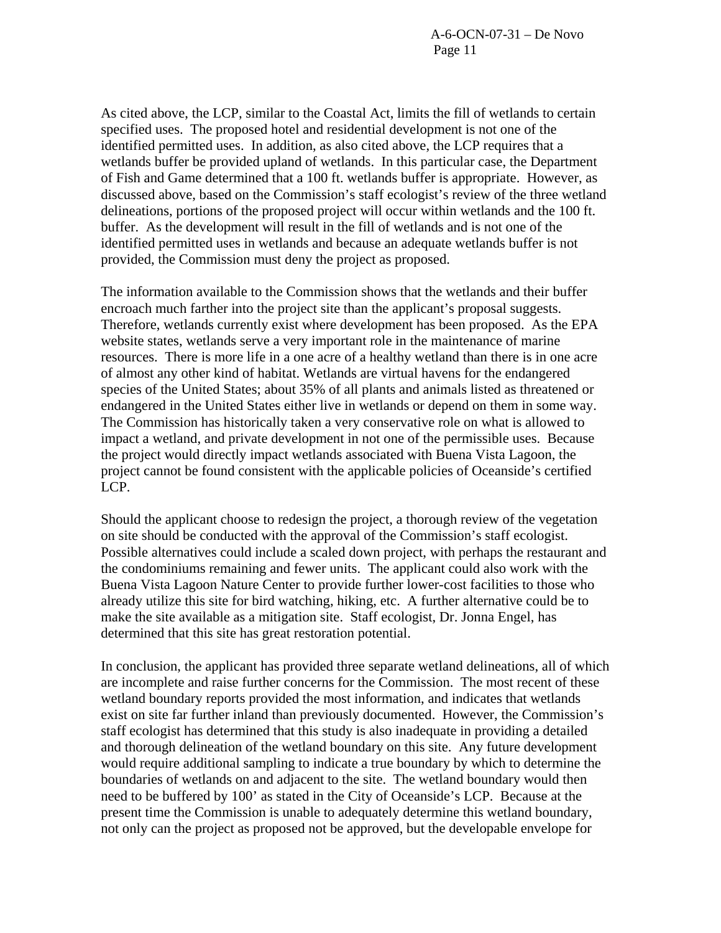As cited above, the LCP, similar to the Coastal Act, limits the fill of wetlands to certain specified uses. The proposed hotel and residential development is not one of the identified permitted uses. In addition, as also cited above, the LCP requires that a wetlands buffer be provided upland of wetlands. In this particular case, the Department of Fish and Game determined that a 100 ft. wetlands buffer is appropriate. However, as discussed above, based on the Commission's staff ecologist's review of the three wetland delineations, portions of the proposed project will occur within wetlands and the 100 ft. buffer. As the development will result in the fill of wetlands and is not one of the identified permitted uses in wetlands and because an adequate wetlands buffer is not provided, the Commission must deny the project as proposed.

The information available to the Commission shows that the wetlands and their buffer encroach much farther into the project site than the applicant's proposal suggests. Therefore, wetlands currently exist where development has been proposed. As the EPA website states, wetlands serve a very important role in the maintenance of marine resources. There is more life in a one acre of a healthy wetland than there is in one acre of almost any other kind of habitat. Wetlands are virtual havens for the endangered species of the United States; about 35% of all plants and animals listed as threatened or endangered in the United States either live in wetlands or depend on them in some way. The Commission has historically taken a very conservative role on what is allowed to impact a wetland, and private development in not one of the permissible uses. Because the project would directly impact wetlands associated with Buena Vista Lagoon, the project cannot be found consistent with the applicable policies of Oceanside's certified LCP.

Should the applicant choose to redesign the project, a thorough review of the vegetation on site should be conducted with the approval of the Commission's staff ecologist. Possible alternatives could include a scaled down project, with perhaps the restaurant and the condominiums remaining and fewer units. The applicant could also work with the Buena Vista Lagoon Nature Center to provide further lower-cost facilities to those who already utilize this site for bird watching, hiking, etc. A further alternative could be to make the site available as a mitigation site. Staff ecologist, Dr. Jonna Engel, has determined that this site has great restoration potential.

In conclusion, the applicant has provided three separate wetland delineations, all of which are incomplete and raise further concerns for the Commission. The most recent of these wetland boundary reports provided the most information, and indicates that wetlands exist on site far further inland than previously documented. However, the Commission's staff ecologist has determined that this study is also inadequate in providing a detailed and thorough delineation of the wetland boundary on this site. Any future development would require additional sampling to indicate a true boundary by which to determine the boundaries of wetlands on and adjacent to the site. The wetland boundary would then need to be buffered by 100' as stated in the City of Oceanside's LCP. Because at the present time the Commission is unable to adequately determine this wetland boundary, not only can the project as proposed not be approved, but the developable envelope for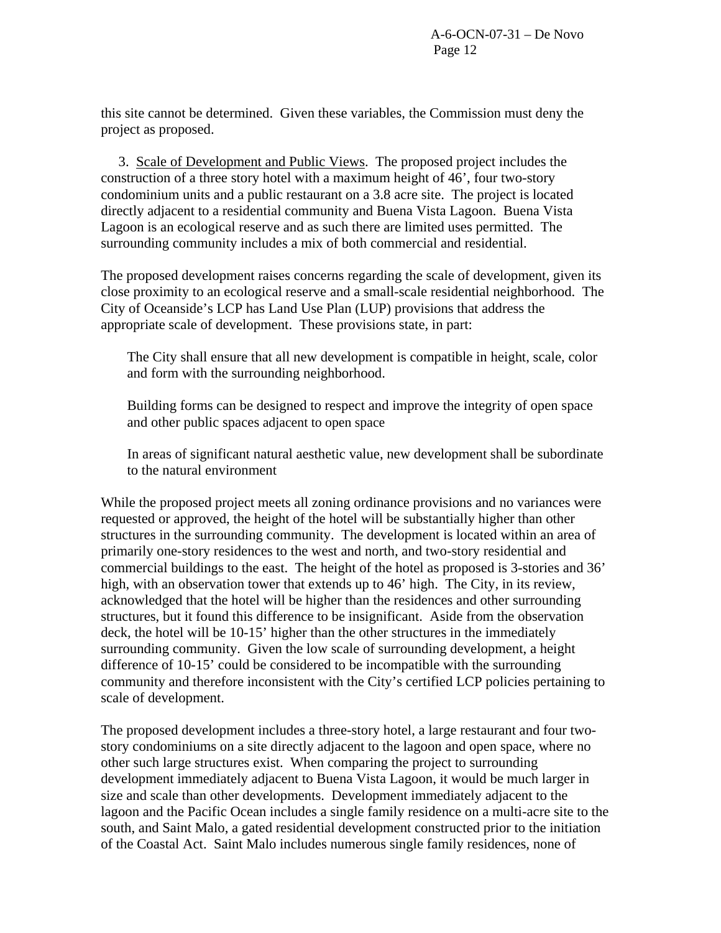this site cannot be determined. Given these variables, the Commission must deny the project as proposed.

 3. Scale of Development and Public Views. The proposed project includes the construction of a three story hotel with a maximum height of 46', four two-story condominium units and a public restaurant on a 3.8 acre site. The project is located directly adjacent to a residential community and Buena Vista Lagoon. Buena Vista Lagoon is an ecological reserve and as such there are limited uses permitted. The surrounding community includes a mix of both commercial and residential.

The proposed development raises concerns regarding the scale of development, given its close proximity to an ecological reserve and a small-scale residential neighborhood. The City of Oceanside's LCP has Land Use Plan (LUP) provisions that address the appropriate scale of development. These provisions state, in part:

The City shall ensure that all new development is compatible in height, scale, color and form with the surrounding neighborhood.

Building forms can be designed to respect and improve the integrity of open space and other public spaces adjacent to open space

In areas of significant natural aesthetic value, new development shall be subordinate to the natural environment

While the proposed project meets all zoning ordinance provisions and no variances were requested or approved, the height of the hotel will be substantially higher than other structures in the surrounding community. The development is located within an area of primarily one-story residences to the west and north, and two-story residential and commercial buildings to the east. The height of the hotel as proposed is 3-stories and 36' high, with an observation tower that extends up to 46' high. The City, in its review, acknowledged that the hotel will be higher than the residences and other surrounding structures, but it found this difference to be insignificant. Aside from the observation deck, the hotel will be 10-15' higher than the other structures in the immediately surrounding community. Given the low scale of surrounding development, a height difference of 10-15' could be considered to be incompatible with the surrounding community and therefore inconsistent with the City's certified LCP policies pertaining to scale of development.

The proposed development includes a three-story hotel, a large restaurant and four twostory condominiums on a site directly adjacent to the lagoon and open space, where no other such large structures exist. When comparing the project to surrounding development immediately adjacent to Buena Vista Lagoon, it would be much larger in size and scale than other developments. Development immediately adjacent to the lagoon and the Pacific Ocean includes a single family residence on a multi-acre site to the south, and Saint Malo, a gated residential development constructed prior to the initiation of the Coastal Act. Saint Malo includes numerous single family residences, none of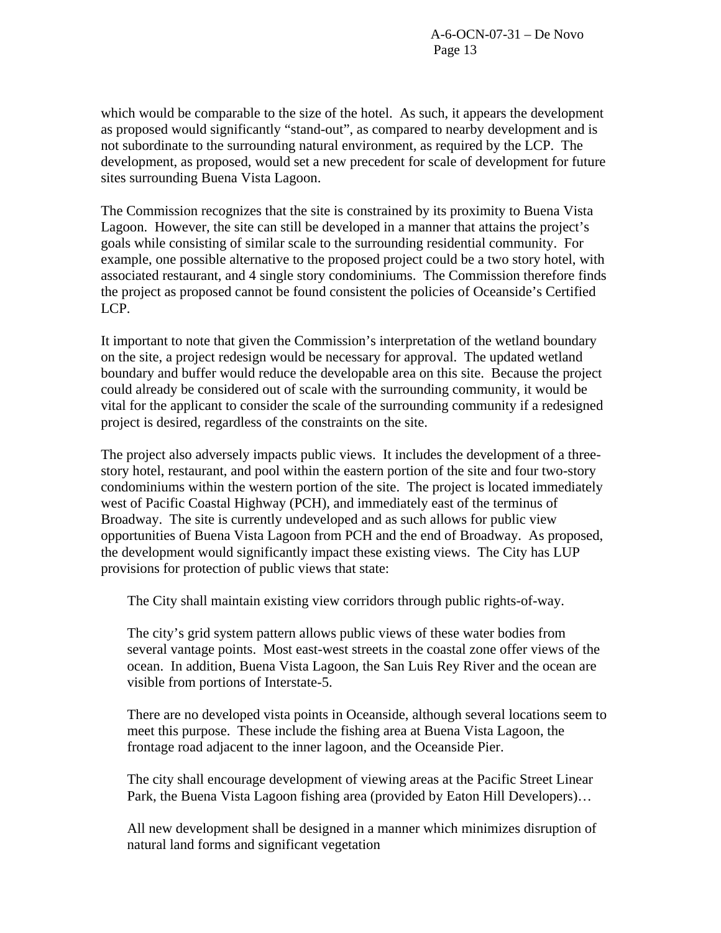which would be comparable to the size of the hotel. As such, it appears the development as proposed would significantly "stand-out", as compared to nearby development and is not subordinate to the surrounding natural environment, as required by the LCP. The development, as proposed, would set a new precedent for scale of development for future sites surrounding Buena Vista Lagoon.

The Commission recognizes that the site is constrained by its proximity to Buena Vista Lagoon. However, the site can still be developed in a manner that attains the project's goals while consisting of similar scale to the surrounding residential community. For example, one possible alternative to the proposed project could be a two story hotel, with associated restaurant, and 4 single story condominiums. The Commission therefore finds the project as proposed cannot be found consistent the policies of Oceanside's Certified LCP.

It important to note that given the Commission's interpretation of the wetland boundary on the site, a project redesign would be necessary for approval. The updated wetland boundary and buffer would reduce the developable area on this site. Because the project could already be considered out of scale with the surrounding community, it would be vital for the applicant to consider the scale of the surrounding community if a redesigned project is desired, regardless of the constraints on the site.

The project also adversely impacts public views. It includes the development of a threestory hotel, restaurant, and pool within the eastern portion of the site and four two-story condominiums within the western portion of the site. The project is located immediately west of Pacific Coastal Highway (PCH), and immediately east of the terminus of Broadway. The site is currently undeveloped and as such allows for public view opportunities of Buena Vista Lagoon from PCH and the end of Broadway. As proposed, the development would significantly impact these existing views. The City has LUP provisions for protection of public views that state:

The City shall maintain existing view corridors through public rights-of-way.

The city's grid system pattern allows public views of these water bodies from several vantage points. Most east-west streets in the coastal zone offer views of the ocean. In addition, Buena Vista Lagoon, the San Luis Rey River and the ocean are visible from portions of Interstate-5.

There are no developed vista points in Oceanside, although several locations seem to meet this purpose. These include the fishing area at Buena Vista Lagoon, the frontage road adjacent to the inner lagoon, and the Oceanside Pier.

The city shall encourage development of viewing areas at the Pacific Street Linear Park, the Buena Vista Lagoon fishing area (provided by Eaton Hill Developers)…

All new development shall be designed in a manner which minimizes disruption of natural land forms and significant vegetation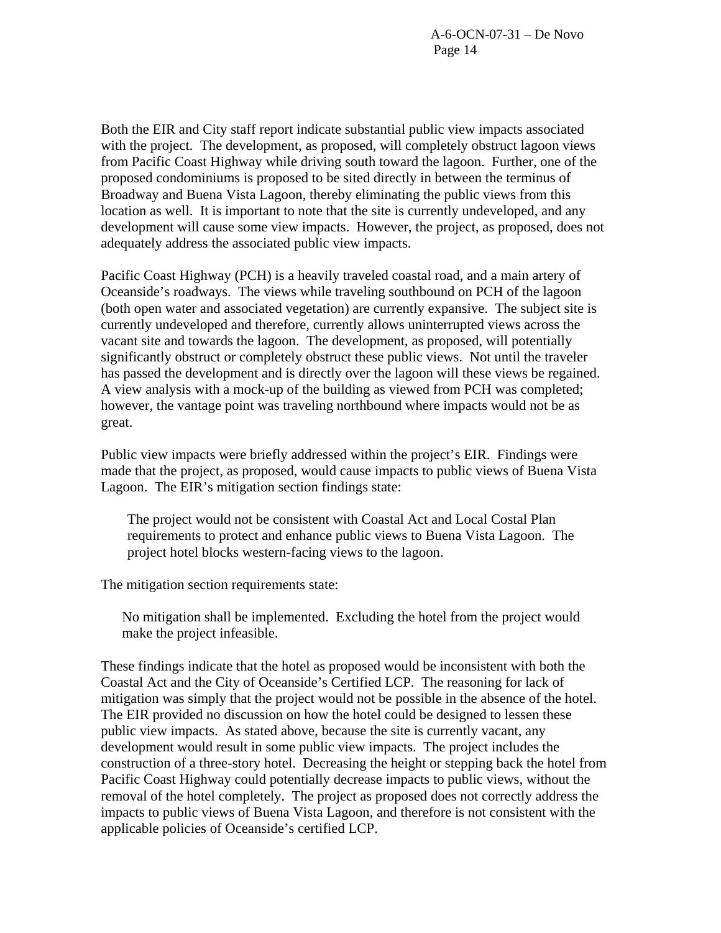Both the EIR and City staff report indicate substantial public view impacts associated with the project. The development, as proposed, will completely obstruct lagoon views from Pacific Coast Highway while driving south toward the lagoon. Further, one of the proposed condominiums is proposed to be sited directly in between the terminus of Broadway and Buena Vista Lagoon, thereby eliminating the public views from this location as well. It is important to note that the site is currently undeveloped, and any development will cause some view impacts. However, the project, as proposed, does not adequately address the associated public view impacts.

Pacific Coast Highway (PCH) is a heavily traveled coastal road, and a main artery of Oceanside's roadways. The views while traveling southbound on PCH of the lagoon (both open water and associated vegetation) are currently expansive. The subject site is currently undeveloped and therefore, currently allows uninterrupted views across the vacant site and towards the lagoon. The development, as proposed, will potentially significantly obstruct or completely obstruct these public views. Not until the traveler has passed the development and is directly over the lagoon will these views be regained. A view analysis with a mock-up of the building as viewed from PCH was completed; however, the vantage point was traveling northbound where impacts would not be as great.

Public view impacts were briefly addressed within the project's EIR. Findings were made that the project, as proposed, would cause impacts to public views of Buena Vista Lagoon. The EIR's mitigation section findings state:

 The project would not be consistent with Coastal Act and Local Costal Plan requirements to protect and enhance public views to Buena Vista Lagoon. The project hotel blocks western-facing views to the lagoon.

The mitigation section requirements state:

No mitigation shall be implemented. Excluding the hotel from the project would make the project infeasible.

These findings indicate that the hotel as proposed would be inconsistent with both the Coastal Act and the City of Oceanside's Certified LCP. The reasoning for lack of mitigation was simply that the project would not be possible in the absence of the hotel. The EIR provided no discussion on how the hotel could be designed to lessen these public view impacts. As stated above, because the site is currently vacant, any development would result in some public view impacts. The project includes the construction of a three-story hotel. Decreasing the height or stepping back the hotel from Pacific Coast Highway could potentially decrease impacts to public views, without the removal of the hotel completely. The project as proposed does not correctly address the impacts to public views of Buena Vista Lagoon, and therefore is not consistent with the applicable policies of Oceanside's certified LCP.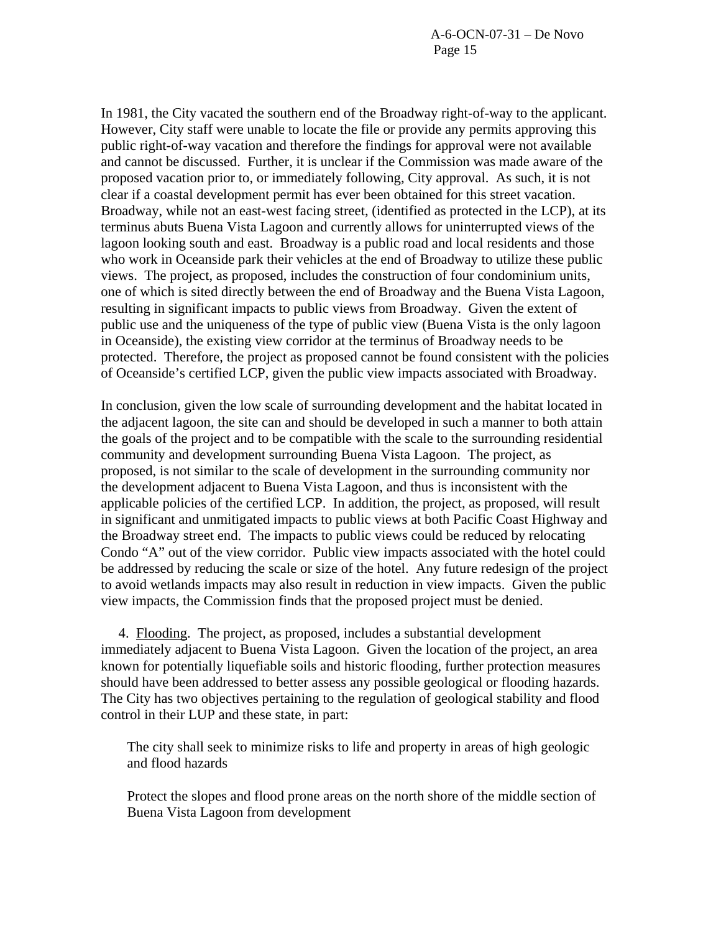A-6-OCN-07-31 – De Novo Page 15

In 1981, the City vacated the southern end of the Broadway right-of-way to the applicant. However, City staff were unable to locate the file or provide any permits approving this public right-of-way vacation and therefore the findings for approval were not available and cannot be discussed. Further, it is unclear if the Commission was made aware of the proposed vacation prior to, or immediately following, City approval. As such, it is not clear if a coastal development permit has ever been obtained for this street vacation. Broadway, while not an east-west facing street, (identified as protected in the LCP), at its terminus abuts Buena Vista Lagoon and currently allows for uninterrupted views of the lagoon looking south and east. Broadway is a public road and local residents and those who work in Oceanside park their vehicles at the end of Broadway to utilize these public views. The project, as proposed, includes the construction of four condominium units, one of which is sited directly between the end of Broadway and the Buena Vista Lagoon, resulting in significant impacts to public views from Broadway. Given the extent of public use and the uniqueness of the type of public view (Buena Vista is the only lagoon in Oceanside), the existing view corridor at the terminus of Broadway needs to be protected. Therefore, the project as proposed cannot be found consistent with the policies of Oceanside's certified LCP, given the public view impacts associated with Broadway.

In conclusion, given the low scale of surrounding development and the habitat located in the adjacent lagoon, the site can and should be developed in such a manner to both attain the goals of the project and to be compatible with the scale to the surrounding residential community and development surrounding Buena Vista Lagoon. The project, as proposed, is not similar to the scale of development in the surrounding community nor the development adjacent to Buena Vista Lagoon, and thus is inconsistent with the applicable policies of the certified LCP. In addition, the project, as proposed, will result in significant and unmitigated impacts to public views at both Pacific Coast Highway and the Broadway street end. The impacts to public views could be reduced by relocating Condo "A" out of the view corridor. Public view impacts associated with the hotel could be addressed by reducing the scale or size of the hotel. Any future redesign of the project to avoid wetlands impacts may also result in reduction in view impacts. Given the public view impacts, the Commission finds that the proposed project must be denied.

 4. Flooding. The project, as proposed, includes a substantial development immediately adjacent to Buena Vista Lagoon. Given the location of the project, an area known for potentially liquefiable soils and historic flooding, further protection measures should have been addressed to better assess any possible geological or flooding hazards. The City has two objectives pertaining to the regulation of geological stability and flood control in their LUP and these state, in part:

The city shall seek to minimize risks to life and property in areas of high geologic and flood hazards

Protect the slopes and flood prone areas on the north shore of the middle section of Buena Vista Lagoon from development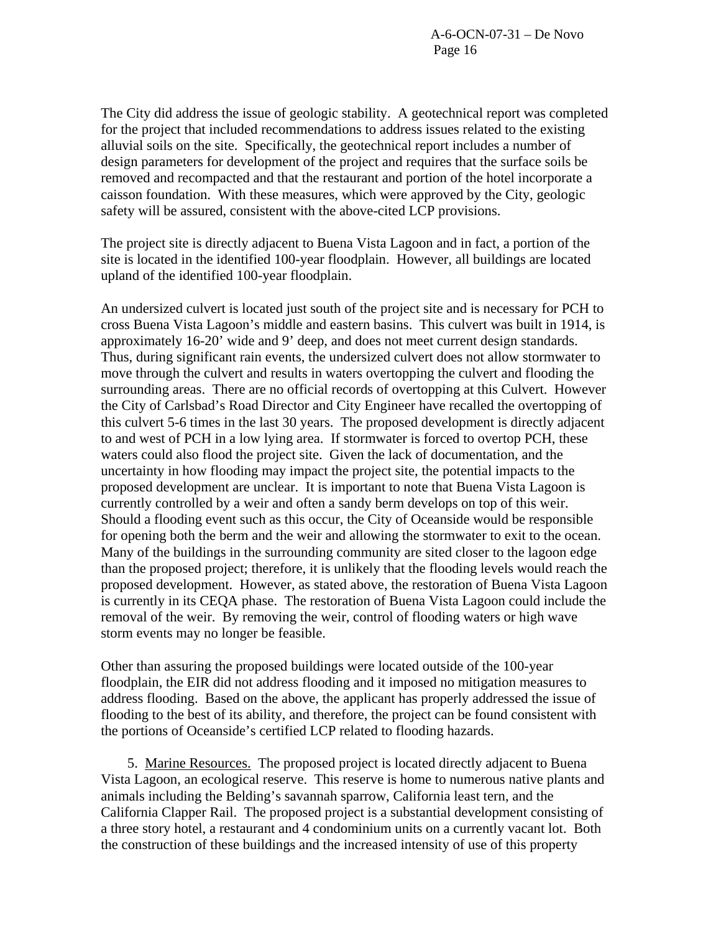The City did address the issue of geologic stability. A geotechnical report was completed for the project that included recommendations to address issues related to the existing alluvial soils on the site. Specifically, the geotechnical report includes a number of design parameters for development of the project and requires that the surface soils be removed and recompacted and that the restaurant and portion of the hotel incorporate a caisson foundation. With these measures, which were approved by the City, geologic safety will be assured, consistent with the above-cited LCP provisions.

The project site is directly adjacent to Buena Vista Lagoon and in fact, a portion of the site is located in the identified 100-year floodplain. However, all buildings are located upland of the identified 100-year floodplain.

An undersized culvert is located just south of the project site and is necessary for PCH to cross Buena Vista Lagoon's middle and eastern basins. This culvert was built in 1914, is approximately 16-20' wide and 9' deep, and does not meet current design standards. Thus, during significant rain events, the undersized culvert does not allow stormwater to move through the culvert and results in waters overtopping the culvert and flooding the surrounding areas. There are no official records of overtopping at this Culvert. However the City of Carlsbad's Road Director and City Engineer have recalled the overtopping of this culvert 5-6 times in the last 30 years. The proposed development is directly adjacent to and west of PCH in a low lying area. If stormwater is forced to overtop PCH, these waters could also flood the project site. Given the lack of documentation, and the uncertainty in how flooding may impact the project site, the potential impacts to the proposed development are unclear. It is important to note that Buena Vista Lagoon is currently controlled by a weir and often a sandy berm develops on top of this weir. Should a flooding event such as this occur, the City of Oceanside would be responsible for opening both the berm and the weir and allowing the stormwater to exit to the ocean. Many of the buildings in the surrounding community are sited closer to the lagoon edge than the proposed project; therefore, it is unlikely that the flooding levels would reach the proposed development. However, as stated above, the restoration of Buena Vista Lagoon is currently in its CEQA phase. The restoration of Buena Vista Lagoon could include the removal of the weir. By removing the weir, control of flooding waters or high wave storm events may no longer be feasible.

Other than assuring the proposed buildings were located outside of the 100-year floodplain, the EIR did not address flooding and it imposed no mitigation measures to address flooding. Based on the above, the applicant has properly addressed the issue of flooding to the best of its ability, and therefore, the project can be found consistent with the portions of Oceanside's certified LCP related to flooding hazards.

 5. Marine Resources. The proposed project is located directly adjacent to Buena Vista Lagoon, an ecological reserve. This reserve is home to numerous native plants and animals including the Belding's savannah sparrow, California least tern, and the California Clapper Rail. The proposed project is a substantial development consisting of a three story hotel, a restaurant and 4 condominium units on a currently vacant lot. Both the construction of these buildings and the increased intensity of use of this property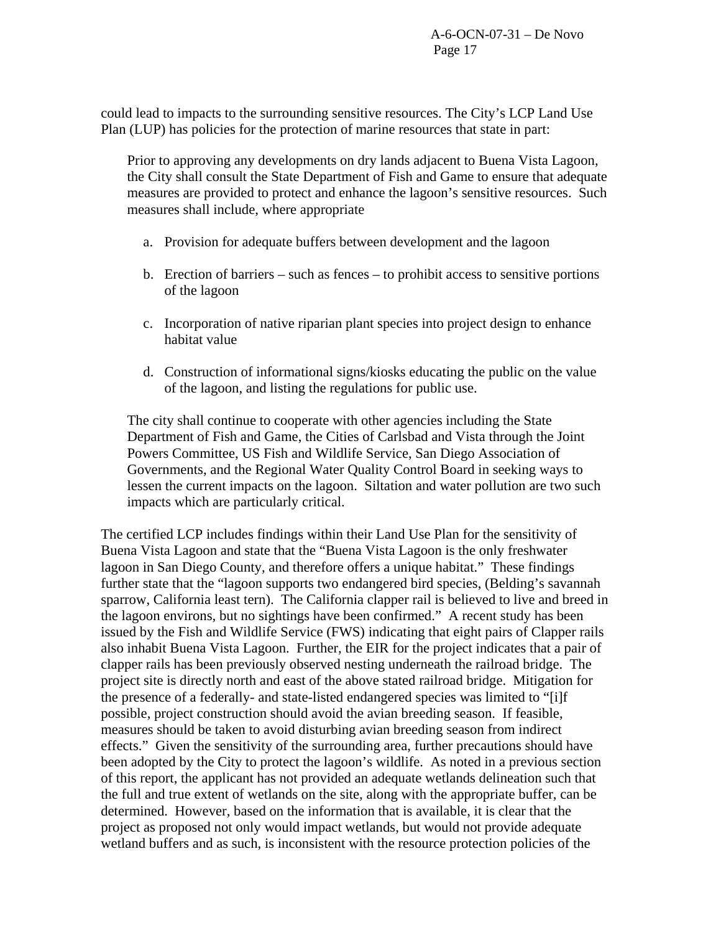could lead to impacts to the surrounding sensitive resources. The City's LCP Land Use Plan (LUP) has policies for the protection of marine resources that state in part:

Prior to approving any developments on dry lands adjacent to Buena Vista Lagoon, the City shall consult the State Department of Fish and Game to ensure that adequate measures are provided to protect and enhance the lagoon's sensitive resources. Such measures shall include, where appropriate

- a. Provision for adequate buffers between development and the lagoon
- b. Erection of barriers such as fences to prohibit access to sensitive portions of the lagoon
- c. Incorporation of native riparian plant species into project design to enhance habitat value
- d. Construction of informational signs/kiosks educating the public on the value of the lagoon, and listing the regulations for public use.

The city shall continue to cooperate with other agencies including the State Department of Fish and Game, the Cities of Carlsbad and Vista through the Joint Powers Committee, US Fish and Wildlife Service, San Diego Association of Governments, and the Regional Water Quality Control Board in seeking ways to lessen the current impacts on the lagoon. Siltation and water pollution are two such impacts which are particularly critical.

The certified LCP includes findings within their Land Use Plan for the sensitivity of Buena Vista Lagoon and state that the "Buena Vista Lagoon is the only freshwater lagoon in San Diego County, and therefore offers a unique habitat." These findings further state that the "lagoon supports two endangered bird species, (Belding's savannah sparrow, California least tern). The California clapper rail is believed to live and breed in the lagoon environs, but no sightings have been confirmed." A recent study has been issued by the Fish and Wildlife Service (FWS) indicating that eight pairs of Clapper rails also inhabit Buena Vista Lagoon. Further, the EIR for the project indicates that a pair of clapper rails has been previously observed nesting underneath the railroad bridge. The project site is directly north and east of the above stated railroad bridge. Mitigation for the presence of a federally- and state-listed endangered species was limited to "[i]f possible, project construction should avoid the avian breeding season. If feasible, measures should be taken to avoid disturbing avian breeding season from indirect effects." Given the sensitivity of the surrounding area, further precautions should have been adopted by the City to protect the lagoon's wildlife. As noted in a previous section of this report, the applicant has not provided an adequate wetlands delineation such that the full and true extent of wetlands on the site, along with the appropriate buffer, can be determined. However, based on the information that is available, it is clear that the project as proposed not only would impact wetlands, but would not provide adequate wetland buffers and as such, is inconsistent with the resource protection policies of the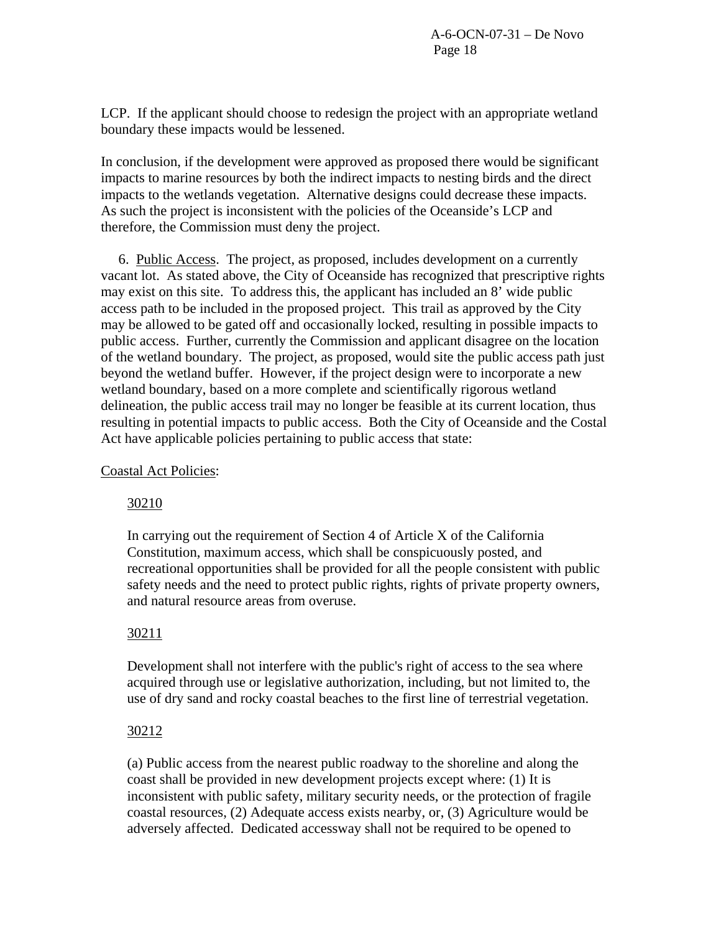LCP. If the applicant should choose to redesign the project with an appropriate wetland boundary these impacts would be lessened.

In conclusion, if the development were approved as proposed there would be significant impacts to marine resources by both the indirect impacts to nesting birds and the direct impacts to the wetlands vegetation. Alternative designs could decrease these impacts. As such the project is inconsistent with the policies of the Oceanside's LCP and therefore, the Commission must deny the project.

 6. Public Access. The project, as proposed, includes development on a currently vacant lot. As stated above, the City of Oceanside has recognized that prescriptive rights may exist on this site. To address this, the applicant has included an 8' wide public access path to be included in the proposed project. This trail as approved by the City may be allowed to be gated off and occasionally locked, resulting in possible impacts to public access. Further, currently the Commission and applicant disagree on the location of the wetland boundary. The project, as proposed, would site the public access path just beyond the wetland buffer. However, if the project design were to incorporate a new wetland boundary, based on a more complete and scientifically rigorous wetland delineation, the public access trail may no longer be feasible at its current location, thus resulting in potential impacts to public access. Both the City of Oceanside and the Costal Act have applicable policies pertaining to public access that state:

Coastal Act Policies:

# 30210

In carrying out the requirement of Section 4 of Article X of the California Constitution, maximum access, which shall be conspicuously posted, and recreational opportunities shall be provided for all the people consistent with public safety needs and the need to protect public rights, rights of private property owners, and natural resource areas from overuse.

### 30211

Development shall not interfere with the public's right of access to the sea where acquired through use or legislative authorization, including, but not limited to, the use of dry sand and rocky coastal beaches to the first line of terrestrial vegetation.

### 30212

(a) Public access from the nearest public roadway to the shoreline and along the coast shall be provided in new development projects except where: (1) It is inconsistent with public safety, military security needs, or the protection of fragile coastal resources, (2) Adequate access exists nearby, or, (3) Agriculture would be adversely affected. Dedicated accessway shall not be required to be opened to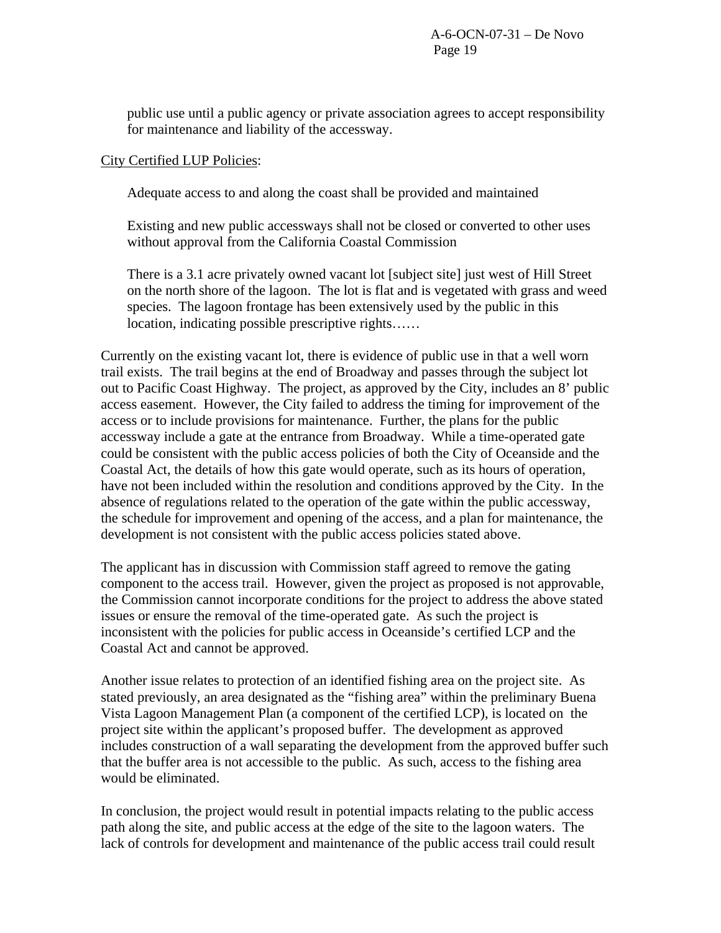public use until a public agency or private association agrees to accept responsibility for maintenance and liability of the accessway.

## City Certified LUP Policies:

Adequate access to and along the coast shall be provided and maintained

Existing and new public accessways shall not be closed or converted to other uses without approval from the California Coastal Commission

There is a 3.1 acre privately owned vacant lot [subject site] just west of Hill Street on the north shore of the lagoon. The lot is flat and is vegetated with grass and weed species. The lagoon frontage has been extensively used by the public in this location, indicating possible prescriptive rights……

Currently on the existing vacant lot, there is evidence of public use in that a well worn trail exists. The trail begins at the end of Broadway and passes through the subject lot out to Pacific Coast Highway. The project, as approved by the City, includes an 8' public access easement. However, the City failed to address the timing for improvement of the access or to include provisions for maintenance. Further, the plans for the public accessway include a gate at the entrance from Broadway. While a time-operated gate could be consistent with the public access policies of both the City of Oceanside and the Coastal Act, the details of how this gate would operate, such as its hours of operation, have not been included within the resolution and conditions approved by the City. In the absence of regulations related to the operation of the gate within the public accessway, the schedule for improvement and opening of the access, and a plan for maintenance, the development is not consistent with the public access policies stated above.

The applicant has in discussion with Commission staff agreed to remove the gating component to the access trail. However, given the project as proposed is not approvable, the Commission cannot incorporate conditions for the project to address the above stated issues or ensure the removal of the time-operated gate. As such the project is inconsistent with the policies for public access in Oceanside's certified LCP and the Coastal Act and cannot be approved.

Another issue relates to protection of an identified fishing area on the project site. As stated previously, an area designated as the "fishing area" within the preliminary Buena Vista Lagoon Management Plan (a component of the certified LCP), is located on the project site within the applicant's proposed buffer. The development as approved includes construction of a wall separating the development from the approved buffer such that the buffer area is not accessible to the public. As such, access to the fishing area would be eliminated.

In conclusion, the project would result in potential impacts relating to the public access path along the site, and public access at the edge of the site to the lagoon waters. The lack of controls for development and maintenance of the public access trail could result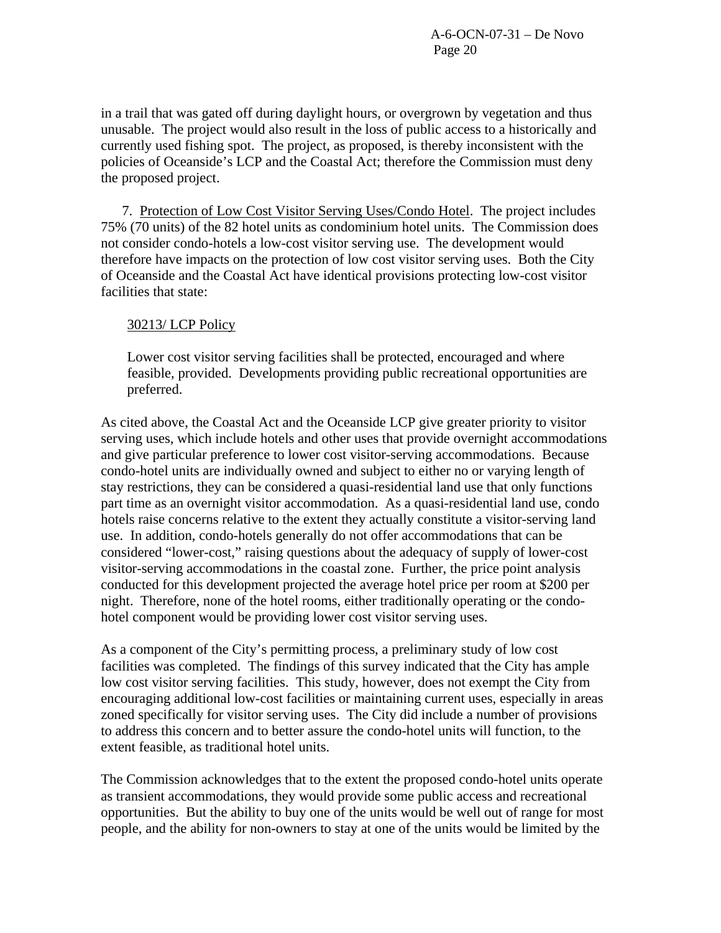in a trail that was gated off during daylight hours, or overgrown by vegetation and thus unusable. The project would also result in the loss of public access to a historically and currently used fishing spot. The project, as proposed, is thereby inconsistent with the policies of Oceanside's LCP and the Coastal Act; therefore the Commission must deny the proposed project.

7. Protection of Low Cost Visitor Serving Uses/Condo Hotel. The project includes 75% (70 units) of the 82 hotel units as condominium hotel units. The Commission does not consider condo-hotels a low-cost visitor serving use. The development would therefore have impacts on the protection of low cost visitor serving uses. Both the City of Oceanside and the Coastal Act have identical provisions protecting low-cost visitor facilities that state:

# 30213/ LCP Policy

Lower cost visitor serving facilities shall be protected, encouraged and where feasible, provided. Developments providing public recreational opportunities are preferred.

As cited above, the Coastal Act and the Oceanside LCP give greater priority to visitor serving uses, which include hotels and other uses that provide overnight accommodations and give particular preference to lower cost visitor-serving accommodations. Because condo-hotel units are individually owned and subject to either no or varying length of stay restrictions, they can be considered a quasi-residential land use that only functions part time as an overnight visitor accommodation. As a quasi-residential land use, condo hotels raise concerns relative to the extent they actually constitute a visitor-serving land use. In addition, condo-hotels generally do not offer accommodations that can be considered "lower-cost," raising questions about the adequacy of supply of lower-cost visitor-serving accommodations in the coastal zone. Further, the price point analysis conducted for this development projected the average hotel price per room at \$200 per night. Therefore, none of the hotel rooms, either traditionally operating or the condohotel component would be providing lower cost visitor serving uses.

As a component of the City's permitting process, a preliminary study of low cost facilities was completed. The findings of this survey indicated that the City has ample low cost visitor serving facilities. This study, however, does not exempt the City from encouraging additional low-cost facilities or maintaining current uses, especially in areas zoned specifically for visitor serving uses. The City did include a number of provisions to address this concern and to better assure the condo-hotel units will function, to the extent feasible, as traditional hotel units.

The Commission acknowledges that to the extent the proposed condo-hotel units operate as transient accommodations, they would provide some public access and recreational opportunities. But the ability to buy one of the units would be well out of range for most people, and the ability for non-owners to stay at one of the units would be limited by the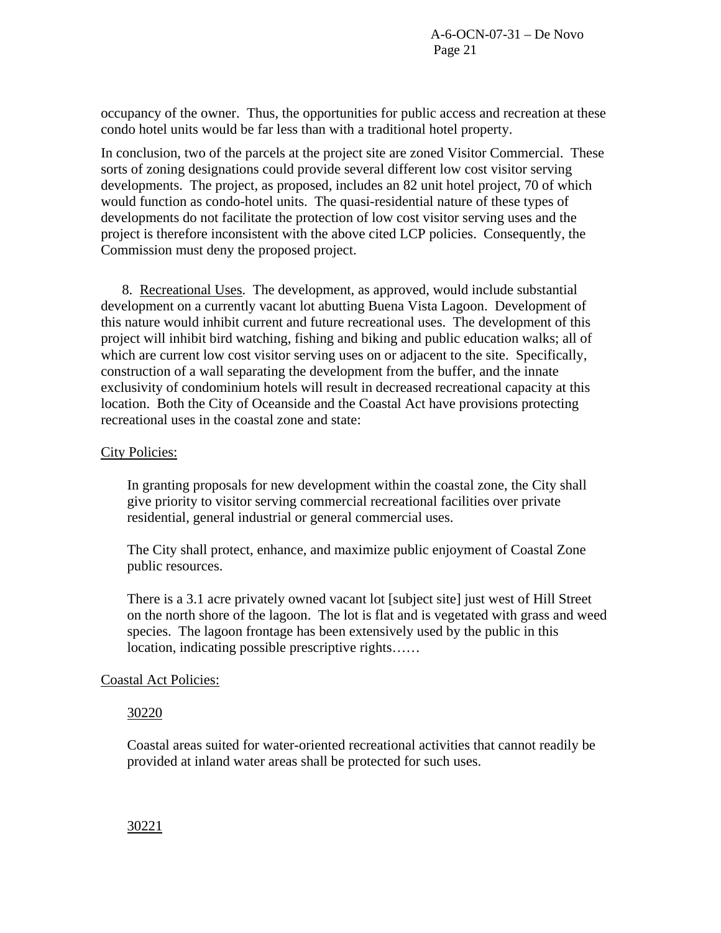occupancy of the owner. Thus, the opportunities for public access and recreation at these condo hotel units would be far less than with a traditional hotel property.

In conclusion, two of the parcels at the project site are zoned Visitor Commercial. These sorts of zoning designations could provide several different low cost visitor serving developments. The project, as proposed, includes an 82 unit hotel project, 70 of which would function as condo-hotel units. The quasi-residential nature of these types of developments do not facilitate the protection of low cost visitor serving uses and the project is therefore inconsistent with the above cited LCP policies. Consequently, the Commission must deny the proposed project.

8. Recreational Uses. The development, as approved, would include substantial development on a currently vacant lot abutting Buena Vista Lagoon. Development of this nature would inhibit current and future recreational uses. The development of this project will inhibit bird watching, fishing and biking and public education walks; all of which are current low cost visitor serving uses on or adjacent to the site. Specifically, construction of a wall separating the development from the buffer, and the innate exclusivity of condominium hotels will result in decreased recreational capacity at this location. Both the City of Oceanside and the Coastal Act have provisions protecting recreational uses in the coastal zone and state:

### City Policies:

In granting proposals for new development within the coastal zone, the City shall give priority to visitor serving commercial recreational facilities over private residential, general industrial or general commercial uses.

The City shall protect, enhance, and maximize public enjoyment of Coastal Zone public resources.

There is a 3.1 acre privately owned vacant lot [subject site] just west of Hill Street on the north shore of the lagoon. The lot is flat and is vegetated with grass and weed species. The lagoon frontage has been extensively used by the public in this location, indicating possible prescriptive rights……

### Coastal Act Policies:

### 30220

Coastal areas suited for water-oriented recreational activities that cannot readily be provided at inland water areas shall be protected for such uses.

30221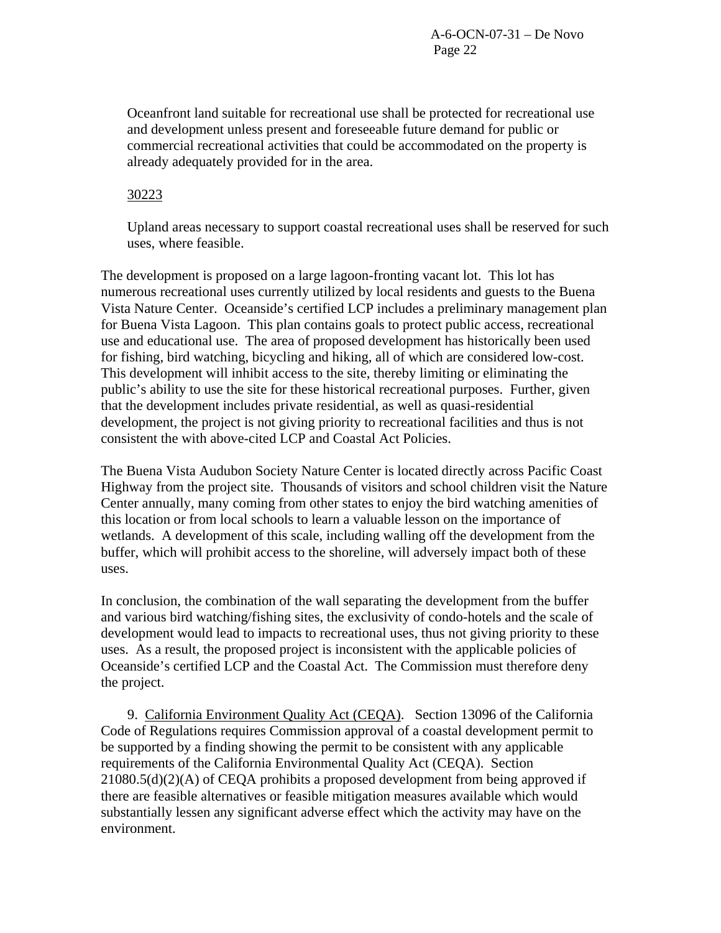Oceanfront land suitable for recreational use shall be protected for recreational use and development unless present and foreseeable future demand for public or commercial recreational activities that could be accommodated on the property is already adequately provided for in the area.

## 30223

Upland areas necessary to support coastal recreational uses shall be reserved for such uses, where feasible.

The development is proposed on a large lagoon-fronting vacant lot. This lot has numerous recreational uses currently utilized by local residents and guests to the Buena Vista Nature Center. Oceanside's certified LCP includes a preliminary management plan for Buena Vista Lagoon. This plan contains goals to protect public access, recreational use and educational use. The area of proposed development has historically been used for fishing, bird watching, bicycling and hiking, all of which are considered low-cost. This development will inhibit access to the site, thereby limiting or eliminating the public's ability to use the site for these historical recreational purposes. Further, given that the development includes private residential, as well as quasi-residential development, the project is not giving priority to recreational facilities and thus is not consistent the with above-cited LCP and Coastal Act Policies.

The Buena Vista Audubon Society Nature Center is located directly across Pacific Coast Highway from the project site. Thousands of visitors and school children visit the Nature Center annually, many coming from other states to enjoy the bird watching amenities of this location or from local schools to learn a valuable lesson on the importance of wetlands. A development of this scale, including walling off the development from the buffer, which will prohibit access to the shoreline, will adversely impact both of these uses.

In conclusion, the combination of the wall separating the development from the buffer and various bird watching/fishing sites, the exclusivity of condo-hotels and the scale of development would lead to impacts to recreational uses, thus not giving priority to these uses. As a result, the proposed project is inconsistent with the applicable policies of Oceanside's certified LCP and the Coastal Act. The Commission must therefore deny the project.

 9. California Environment Quality Act (CEQA). Section 13096 of the California Code of Regulations requires Commission approval of a coastal development permit to be supported by a finding showing the permit to be consistent with any applicable requirements of the California Environmental Quality Act (CEQA). Section 21080.5(d)(2)(A) of CEQA prohibits a proposed development from being approved if there are feasible alternatives or feasible mitigation measures available which would substantially lessen any significant adverse effect which the activity may have on the environment.